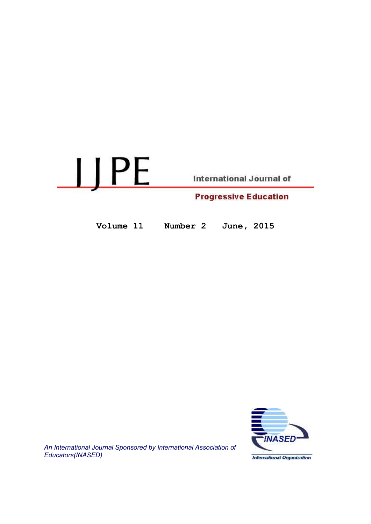

Volume 11 Number 2 June, 2015



An International Journal Sponsored by International Association of Educators(INASED)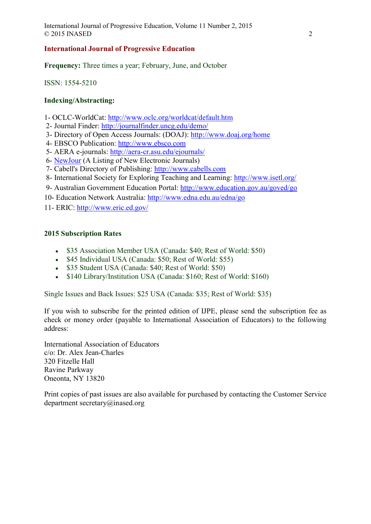# International Journal of Progressive Education

Frequency: Three times a year; February, June, and October

ISSN: 1554-5210

# Indexing/Abstracting:

- 1- OCLC-WorldCat: http://www.oclc.org/worldcat/default.htm
- 2- Journal Finder: http://journalfinder.uncg.edu/demo/
- 3- Directory of Open Access Journals: (DOAJ): http://www.doaj.org/home
- 4- EBSCO Publication: http://www.ebsco.com
- 5- AERA e-journals: http://aera-cr.asu.edu/ejournals/
- 6- NewJour (A Listing of New Electronic Journals)
- 7- Cabell's Directory of Publishing: http://www.cabells.com
- 8- International Society for Exploring Teaching and Learning: http://www.isetl.org/
- 9- Australian Government Education Portal: http://www.education.gov.au/goved/go
- 10- Education Network Australia: http://www.edna.edu.au/edna/go

11- ERIC: http://www.eric.ed.gov/

# 2015 Subscription Rates

- \$35 Association Member USA (Canada: \$40; Rest of World: \$50)
- \$45 Individual USA (Canada: \$50; Rest of World: \$55)
- \$35 Student USA (Canada: \$40; Rest of World: \$50)
- \$140 Library/Institution USA (Canada: \$160; Rest of World: \$160)

Single Issues and Back Issues: \$25 USA (Canada: \$35; Rest of World: \$35)

If you wish to subscribe for the printed edition of IJPE, please send the subscription fee as check or money order (payable to International Association of Educators) to the following address:

International Association of Educators c/o: Dr. Alex Jean-Charles 320 Fitzelle Hall Ravine Parkway Oneonta, NY 13820

Print copies of past issues are also available for purchased by contacting the Customer Service department secretary@inased.org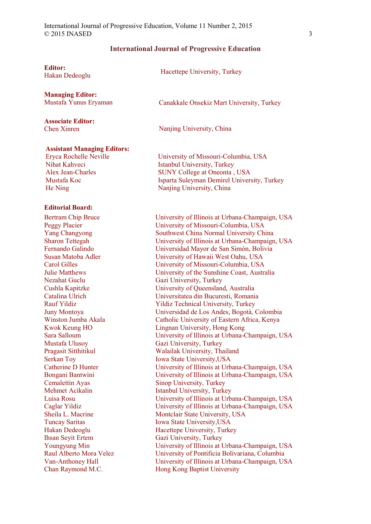### International Journal of Progressive Education

Editor:

Managing Editor:

Associate Editor: Chen Xinren

**Euror:**<br>Hakan Dedeoglu Hacettepe University, Turkey

Mustafa Yunus Eryaman Canakkale Onsekiz Mart University, Turkey

Nanjing University, China

### Assistant Managing Editors:

Eryca Rochelle Neville Nihat Kahveci Alex Jean-Charles Mustafa Koc He Ning

#### Editorial Board:

Bertram Chip Bruce Peggy Placier Yang Changyong Sharon Tettegah Fernando Galindo Susan Matoba Adler Carol Gilles Julie Matthews Nezahat Guclu Cushla Kapitzke Catalina Ulrich Rauf Yildiz Juny Montoya Winston Jumba Akala Kwok Keung HO Sara Salloum Mustafa Ulusoy Pragasit Sitthitikul Serkan Toy Catherine D Hunter Bongani Bantwini Cemalettin Ayas Mehmet Acikalin Luisa Rosu Caglar Yildiz Sheila L. Macrine Tuncay Saritas Hakan Dedeoglu Ihsan Seyit Ertem Youngyung Min Raul Alberto Mora Velez Van-Anthoney Hall Chan Raymond M.C.

University of Missouri-Columbia, USA Istanbul University, Turkey SUNY College at Oneonta , USA Isparta Suleyman Demirel University, Turkey Nanjing University, China

University of Illinois at Urbana-Champaign, USA University of Missouri-Columbia, USA Southwest China Normal University China University of Illinois at Urbana-Champaign, USA Universidad Mayor de San Simón, Bolivia University of Hawaii West Oahu, USA University of Missouri-Columbia, USA University of the Sunshine Coast, Australia Gazi University, Turkey University of Queensland, Australia Universitatea din Bucuresti, Romania Yildiz Technical University, Turkey Universidad de Los Andes, Bogotá, Colombia Catholic University of Eastern Africa, Kenya Lingnan University, Hong Kong University of Illinois at Urbana-Champaign, USA Gazi University, Turkey Walailak University, Thailand Iowa State University,USA University of Illinois at Urbana-Champaign, USA University of Illinois at Urbana-Champaign, USA Sinop University, Turkey Istanbul University, Turkey University of Illinois at Urbana-Champaign, USA University of Illinois at Urbana-Champaign, USA Montclair State University, USA Iowa State University,USA Hacettepe University, Turkey Gazi University, Turkey University of Illinois at Urbana-Champaign, USA University of Pontificia Bolivariana, Columbia University of Illinois at Urbana-Champaign, USA Hong Kong Baptist University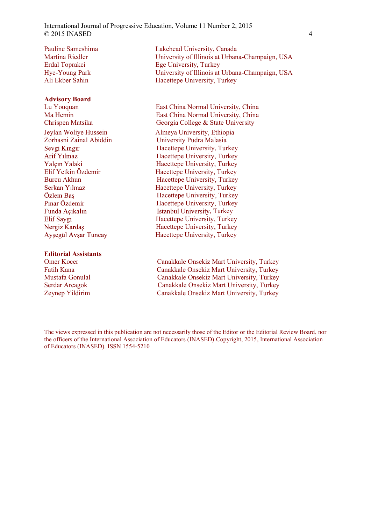International Journal of Progressive Education, Volume 11 Number 2, 2015  $\odot$  2015 INASED 4

Pauline Sameshima Martina Riedler Erdal Toprakci Hye-Young Park Ali Ekber Sahin

#### Advisory Board

Yalcın Yalaki

#### Editorial Assistants

Lakehead University, Canada University of Illinois at Urbana-Champaign, USA Ege University, Turkey University of Illinois at Urbana-Champaign, USA Hacettepe University, Turkey

Lu Youquan East China Normal University, China Ma Hemin East China Normal University, China Chrispen Matsika Georgia College & State University Jeylan Woliye Hussein<br>
Zorhasni Zainal Abiddin<br>
University Pudra Malasia University Pudra Malasia Hacettepe University, Turkey Arif Yılmaz Hacettepe University, Turkey Hacettepe University, Turkey Elif Yetkin Özdemir Hacettepe University, Turkey Burcu Akhun Hacettepe University, Turkey Serkan Yılmaz Hacettepe University, Turkey Hacettepe University, Turkey Pinar Özdemir Hacettepe University, Turkey Funda Açıkalın **Evan Estanbul University**, Turkey Elif Saygı Hacettepe University, Turkey Nergiz Kardaş<br>
Hacettepe University, Turkey<br>
Hacettepe University, Turkey<br>
Hacettepe University, Turkey Hacettepe University, Turkey

Omer Kocer Canakkale Onsekiz Mart University, Turkey Fatih Kana Canakkale Onsekiz Mart University, Turkey Mustafa Gonulal Canakkale Onsekiz Mart University, Turkey Serdar Arcagok Canakkale Onsekiz Mart University, Turkey Zeynep Yildirim Canakkale Onsekiz Mart University, Turkey

The views expressed in this publication are not necessarily those of the Editor or the Editorial Review Board, nor the officers of the International Association of Educators (INASED).Copyright, 2015, International Association of Educators (INASED). ISSN 1554-5210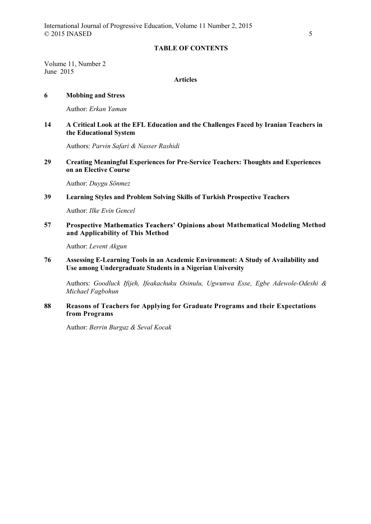## TABLE OF CONTENTS

Volume 11, Number 2 June 2015

## Articles

### 6 Mobbing and Stress

Author: Erkan Yaman

## 14 A Critical Look at the EFL Education and the Challenges Faced by Iranian Teachers in the Educational System

Authors: Parvin Safari & Nasser Rashidi

29 Creating Meaningful Experiences for Pre-Service Teachers: Thoughts and Experiences on an Elective Course

Author: Duygu Sönmez

## 39 Learning Styles and Problem Solving Skills of Turkish Prospective Teachers

Author: Ilke Evin Gencel

57 Prospective Mathematics Teachers' Opinions about Mathematical Modeling Method and Applicability of This Method

Author: Levent Akgun

76 Assessing E-Learning Tools in an Academic Environment: A Study of Availability and Use among Undergraduate Students in a Nigerian University

Authors: Goodluck Ifijeh, Ifeakachuku Osinulu, Ugwunwa Esse, Egbe Adewole-Odeshi & Michael Fagbohun

## 88 Reasons of Teachers for Applying for Graduate Programs and their Expectations from Programs

Author: Berrin Burgaz & Seval Kocak